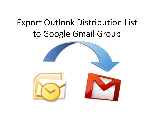# Export Outlook Distribution List to Google Gmail Group

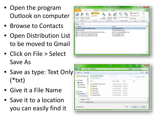- Open the program Outlook on computer
- Browse to Contacts
- Open Distribution List to be moved to Gmail
- Click on File > Select Save As
- Save as type: Text Only  $(*txt)$
- Give it a File Name
- Save it to a location you can easily find it

| 91 男<br>$4 \times 7$<br>65                                                                                                                                                                                                                                                                                                        |                             |                                        | Test - Contact Group |                               |                                                               | $\equiv$      |  |
|-----------------------------------------------------------------------------------------------------------------------------------------------------------------------------------------------------------------------------------------------------------------------------------------------------------------------------------|-----------------------------|----------------------------------------|----------------------|-------------------------------|---------------------------------------------------------------|---------------|--|
| Contact Group<br>File                                                                                                                                                                                                                                                                                                             | Insert                      | Format Text                            | Review               |                               |                                                               | a<br>$\infty$ |  |
| Delete Forward<br>Save &<br>Group Group v<br>Close<br>Actions                                                                                                                                                                                                                                                                     | SB Members<br>Notes<br>Show | Add<br>Members * Member Now<br>Members | Remove Update        | E-mail Meeting<br>Communicate | <b>Example 1</b> Categorize<br>Follow Up -<br>Private<br>Tags | Zoom<br>Zoom  |  |
| Test<br>Name:                                                                                                                                                                                                                                                                                                                     |                             |                                        |                      |                               |                                                               |               |  |
| E-mail<br>1 Name<br>Ann Clay (ann.clay@bvsd.org)<br>ann.day@bvsd.org<br><b>Brad Gerke</b><br>brad.gefke@bvsd.org<br>Jen Nussbaum (jennifer.nussbaum@bvsd.org)<br>jennifer.nussbaum@bvsd.org<br>9= Joel Criger (joel.criger@bvsd.org)<br>joel.criger@bvsd.org<br><b>B= Joni Gates (joni.gates@bvsd.org)</b><br>joni.gates@bvsd.org |                             |                                        |                      |                               |                                                               |               |  |

| Drgastre *<br>New folder                                   |                                            |                               |                    |                   | ۵<br>三. |
|------------------------------------------------------------|--------------------------------------------|-------------------------------|--------------------|-------------------|---------|
| Microsoft Outlook                                          | Documents library<br>Includes: 2 locations |                               |                    | Amanga by: Folder |         |
| <b>A Sit Favorites</b>                                     | ×<br>Neme                                  | <b>Date</b> modified          | Type               | Size              |         |
| Desktop                                                    | Windows/ThemesFromJesse                    | 12/5/2011 11:48 AM            | File folder        |                   |         |
| Downloads<br>Recent Places                                 | Aclobe PDF                                 | 5/13/2010 10:04 AM            | <b>File folder</b> |                   |         |
|                                                            | Outlook Files                              | 4/3/2012 9:43 AM              | File folder        |                   |         |
| 4 a Libraries                                              | <b>Printer Scripts</b>                     | 2/15/2012 12:24 AM            | File folder        |                   |         |
| Security Office<br>$\blacktriangle$ <sup>2</sup> Documents | 12/6/2011 2:23 PM                          | File folder                   |                    |                   |         |
| > My Document: _                                           | <b>Timesheet Archive</b>                   | 3/9/2012 10:44 AM File folder |                    |                   |         |
| <b>Flemane</b> Testot                                      |                                            |                               |                    |                   |         |
| Save as type: Text Only (".txt)                            |                                            |                               |                    |                   |         |
|                                                            |                                            |                               |                    |                   |         |
| Hide Folders                                               |                                            |                               | Tools *            | Save              | Cancel  |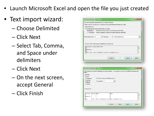- Launch Microsoft Excel and open the file you just created
- Text import wizard:
	- Choose Delimited
	- Click Next
	- Select Tab, Comma, and Space under delimiters
	- Click Next
	- On the next screen, accept General
	- Click Finish

| Text Import Wizard - Step 1 of 3                                                                                                                       | ×                        |
|--------------------------------------------------------------------------------------------------------------------------------------------------------|--------------------------|
| The Text Wizard has determined that your data is Delimited.<br>If this is correct, choose Next, or choose the data type that best describes your data. |                          |
| Original data type                                                                                                                                     |                          |
| Choose the file type that best describes your data:<br>- Characters such as commas or tabs separate each field.<br><b>Delimited</b>                    |                          |
| Fixed width - Fields are aligned in columns with spaces between each field.                                                                            |                          |
|                                                                                                                                                        |                          |
| File origin:<br>437 : OEM United States<br>Start import at row:<br>и                                                                                   | $\overline{\phantom{a}}$ |
|                                                                                                                                                        |                          |
|                                                                                                                                                        |                          |
| Preview of file C: Users dason, trujilo Documents (Test, txt.                                                                                          |                          |
| 1 Contact Group Name:Test                                                                                                                              |                          |
| 3 Members :                                                                                                                                            |                          |
| 5 Ann Clay (ann.clay@bved.org)ann.clay@bved.org                                                                                                        |                          |
|                                                                                                                                                        |                          |
|                                                                                                                                                        |                          |
| <back<br>Next &gt;<br/>Cancel</back<br>                                                                                                                | Finish                   |
|                                                                                                                                                        |                          |

| below.                                                             |             | Text Import Wizard - Step 2 of 3                         | This screen lets you set the delimiters your data contains. You can see how your text is affected in the preview |  |
|--------------------------------------------------------------------|-------------|----------------------------------------------------------|------------------------------------------------------------------------------------------------------------------|--|
| Delimiters<br>$V$ Tab<br>Semicolon<br>V Comma<br>V Space<br>cther: |             | V Treat consecutive delimiters as one<br>Text gualifier: | ۰                                                                                                                |  |
| Data preview<br>Contact<br>Monito ro:                              |             | Group Name:                                              | Teat                                                                                                             |  |
| Ann                                                                | <b>Clay</b> |                                                          | (ann.clay@bvsd.org) ann.clay@bvsd.org                                                                            |  |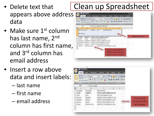- appears above address data
- Make sure 1<sup>st</sup> column has last name, 2<sup>nd</sup> column has first name, and 3rd column has email address
- Insert a row above data and insert labels:
	- last name
	- first name
	- email address

## • Delete text that I Clean up Spreadsheet

|             | A Cut<br><b>La Copy</b><br>Paste<br>Chokmard | / Format Painter<br>× | Calibri<br>B | $-11$<br>u<br>I diffi<br><b>Africa</b> | $A$ $\Lambda$<br>$\oplus$   |   | Alignment.                                                                | Wrap Text<br>All Morge & Center |                  |
|-------------|----------------------------------------------|-----------------------|--------------|----------------------------------------|-----------------------------|---|---------------------------------------------------------------------------|---------------------------------|------------------|
|             | A1                                           | ٠                     |              | h.                                     | Distribution                |   |                                                                           |                                 |                  |
| Ż<br>3<br>A | Δ<br>DistributioList<br>Members:             | в                     | c<br>Name:   | D<br>My                                | F<br><b>DistributicList</b> | E | G                                                                         | H                               |                  |
| 5<br>59 a 3 | Josiah                                       |                       |              | Carberry Josiah Carberry@brown.edu     |                             |   |                                                                           |                                 | Delete this text |
| 11<br>12    |                                              |                       |              |                                        |                             |   | Clean up spacing here!<br>Middle name has been<br>placed in email column. |                                 |                  |

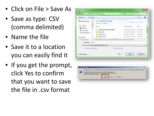- Click on File > Save As
- Save as type: CSV (comma delimited)
- Name the file
- Save it to a location you can easily find it
- If you get the prompt, click Yes to confirm that you want to save the file in .csv format

| X Save As                | I Libraries I Documents I                                | Search Documents<br>v I fe |                    | ×<br>۹         |  |  |  |
|--------------------------|----------------------------------------------------------|----------------------------|--------------------|----------------|--|--|--|
| Organize -<br>New folder |                                                          |                            | 188 ▼              | ⋒              |  |  |  |
| Microsoft Excel<br>Ë     | Documents library<br>Includes: 2 locations               |                            | Arrange by: Folder |                |  |  |  |
| <b>Sir Favorites</b>     | ×<br>Name                                                | Date modified              | Type               | ۸              |  |  |  |
| Desktop<br>Downloads     | Windows7ThemesFromJesse                                  | 12/5/2011 11:48 AM         | File folder        | ₫              |  |  |  |
| <b>SEL Recent Places</b> | <b>Adobe PDF</b>                                         | 5/13/2010 10:04 AM         | File folder        |                |  |  |  |
|                          | <b>Outlook Files</b>                                     | 4/3/2012 9:43 AM           | File folder        |                |  |  |  |
| Libraries                | <b>Printer Scripts</b>                                   | 2/15/2012 12:24 AM         | File folder        |                |  |  |  |
| <b>Documents</b>         | BL.                                                      |                            |                    | ٠              |  |  |  |
| Test.csv<br>File name:   |                                                          |                            |                    | $\blacksquare$ |  |  |  |
|                          | Save as type: CSV (Comma delimited) (".csv)<br>$\bullet$ |                            |                    |                |  |  |  |
| Authors: jason.trujillo  | Tags: Add a tag                                          |                            |                    |                |  |  |  |
|                          |                                                          |                            |                    |                |  |  |  |
| <b>Hide Folders</b>      | Tools                                                    | Save                       | Cancel             |                |  |  |  |

|                                                                                   |     |    | My Distribution List, csy may contain features that are not compatible with CSV (Comma delimited). Do you want to keep the workbook in this format? |
|-----------------------------------------------------------------------------------|-----|----|-----------------------------------------------------------------------------------------------------------------------------------------------------|
| · To keep this format, which leaves out any incompatible features, did: Yes.      |     |    |                                                                                                                                                     |
| . To preserve the features, clok No. Then save a copy in the latest Excel format. |     |    |                                                                                                                                                     |
| . To see what might be lost, clck Help.                                           |     |    |                                                                                                                                                     |
|                                                                                   | fes | No |                                                                                                                                                     |
|                                                                                   |     |    |                                                                                                                                                     |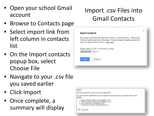- Open your school Gmail account
- Browse to Contacts page
- Select import link from left column in contacts list
- On the Import contacts popup box, select Choose File
- Navigate to your .csv file you saved earlier
- Click Import
- Once complete, a summary will display

### Import .csv Files into Gmail Contacts

### × **Import contacts** We support importing CSV files from Outlook, Outlook Express, Yahoo! Mail, Hotmail, Eudora and some other apps. We also support importing vCard from apps like Apple Address Book. Learn more Please select a CSV or vCard file to upload: Choose File | Test.csv Import Cancel

#### Import

We have imported all 6 contacts found in the uploaded file.

4 contacts from the uploaded file have been merged with contacts already in your Google address book. Details...

- 
- 
- 

OK Learn more